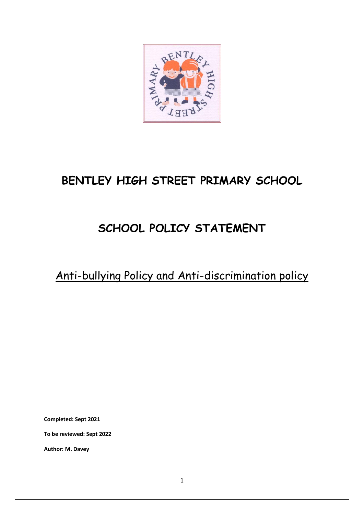

# **BENTLEY HIGH STREET PRIMARY SCHOOL**

# **SCHOOL POLICY STATEMENT**

Anti-bullying Policy and Anti-discrimination policy

**Completed: Sept 2021**

**To be reviewed: Sept 2022**

**Author: M. Davey**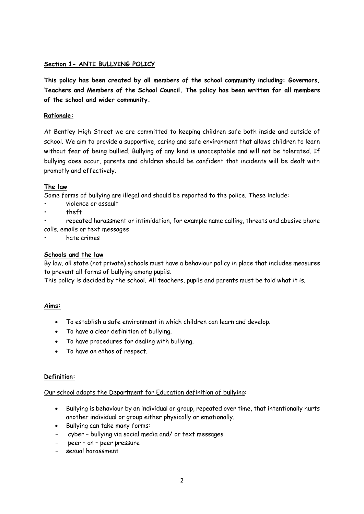#### **Section 1- ANTI BULLYING POLICY**

**This policy has been created by all members of the school community including: Governors, Teachers and Members of the School Council. The policy has been written for all members of the school and wider community.**

### **Rationale:**

At Bentley High Street we are committed to keeping children safe both inside and outside of school. We aim to provide a supportive, caring and safe environment that allows children to learn without fear of being bullied. Bullying of any kind is unacceptable and will not be tolerated. If bullying does occur, parents and children should be confident that incidents will be dealt with promptly and effectively.

#### **The law**

Some forms of bullying are illegal and should be reported to the police. These include:

- violence or assault
- theft
- repeated harassment or intimidation, for example name calling, threats and abusive phone calls, emails or text messages
- hate crimes

### **Schools and the law**

By law, all state (not private) schools must have a behaviour policy in place that includes measures to prevent all forms of bullying among pupils.

This policy is decided by the school. All teachers, pupils and parents must be told what it is.

#### **Aims:**

- To establish a safe environment in which children can learn and develop.
- To have a clear definition of bullying.
- To have procedures for dealing with bullying.
- To have an ethos of respect.

#### **Definition:**

#### Our school adopts the Department for Education definition of bullying:

- Bullying is behaviour by an individual or group, repeated over time, that intentionally hurts another individual or group either physically or emotionally.
- Bullying can take many forms:
- cyber bullying via social media and/ or text messages
- peer on peer pressure
- sexual harassment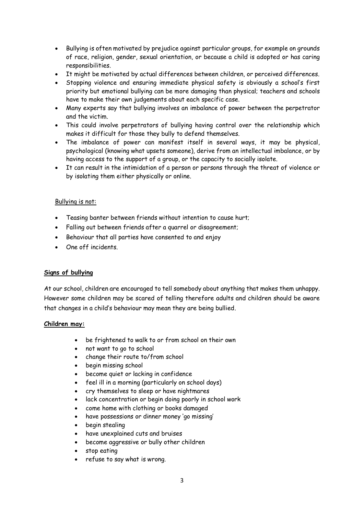- Bullying is often motivated by prejudice against particular groups, for example on grounds of race, religion, gender, sexual orientation, or because a child is adopted or has caring responsibilities.
- It might be motivated by actual differences between children, or perceived differences.
- Stopping violence and ensuring immediate physical safety is obviously a school's first priority but emotional bullying can be more damaging than physical; teachers and schools have to make their own judgements about each specific case.
- Many experts say that bullying involves an imbalance of power between the perpetrator and the victim.
- This could involve perpetrators of bullying having control over the relationship which makes it difficult for those they bully to defend themselves.
- The imbalance of power can manifest itself in several ways, it may be physical, psychological (knowing what upsets someone), derive from an intellectual imbalance, or by having access to the support of a group, or the capacity to socially isolate.
- It can result in the intimidation of a person or persons through the threat of violence or by isolating them either physically or online.

#### Bullying is not:

- Teasing banter between friends without intention to cause hurt;
- Falling out between friends after a quarrel or disagreement;
- Behaviour that all parties have consented to and enjoy
- One off incidents

#### **Signs of bullying**

At our school, children are encouraged to tell somebody about anything that makes them unhappy. However some children may be scared of telling therefore adults and children should be aware that changes in a child's behaviour may mean they are being bullied.

#### **Children may:**

- be frightened to walk to or from school on their own
- not want to go to school
- change their route to/from school
- begin missing school
- become quiet or lacking in confidence
- feel ill in a morning (particularly on school days)
- cry themselves to sleep or have nightmares
- lack concentration or begin doing poorly in school work
- come home with clothing or books damaged
- have possessions or dinner money 'go missing'
- begin stealing
- have unexplained cuts and bruises
- become aggressive or bully other children
- stop eating
- refuse to say what is wrong.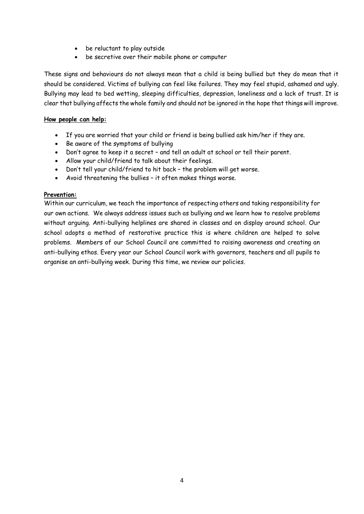- be reluctant to play outside
- be secretive over their mobile phone or computer

These signs and behaviours do not always mean that a child is being bullied but they do mean that it should be considered. Victims of bullying can feel like failures. They may feel stupid, ashamed and ugly. Bullying may lead to bed wetting, sleeping difficulties, depression, loneliness and a lack of trust. It is clear that bullying affects the whole family and should not be ignored in the hope that things will improve.

#### **How people can help:**

- If you are worried that your child or friend is being bullied ask him/her if they are.
- Be aware of the symptoms of bullying
- Don't agree to keep it a secret and tell an adult at school or tell their parent.
- Allow your child/friend to talk about their feelings.
- Don't tell your child/friend to hit back the problem will get worse.
- Avoid threatening the bullies it often makes things worse.

#### **Prevention:**

Within our curriculum, we teach the importance of respecting others and taking responsibility for our own actions. We always address issues such as bullying and we learn how to resolve problems without arguing. Anti-bullying helplines are shared in classes and on display around school. Our school adopts a method of restorative practice this is where children are helped to solve problems. Members of our School Council are committed to raising awareness and creating an anti-bullying ethos. Every year our School Council work with governors, teachers and all pupils to organise an anti-bullying week. During this time, we review our policies.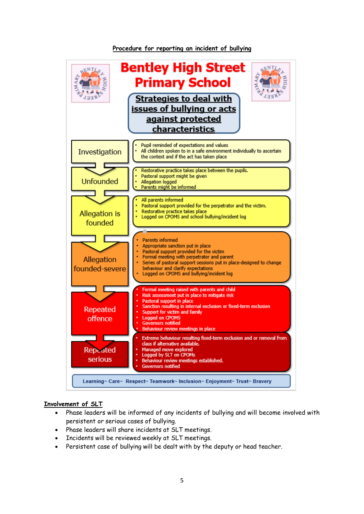

#### **Procedure for reporting an incident of bullying**

#### **Involvement of SLT**

- Phase leaders will be informed of any incidents of bullying and will become involved with persistent or serious cases of bullying.
- Phase leaders will share incidents at SLT meetings.
- Incidents will be reviewed weekly at SLT meetings.
- Persistent case of bullying will be dealt with by the deputy or head teacher.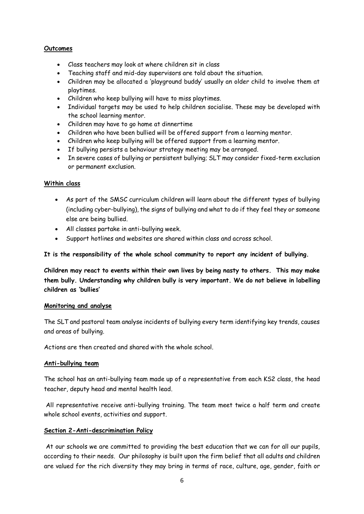#### **Outcomes**

- Class teachers may look at where children sit in class
- Teaching staff and mid-day supervisors are told about the situation.
- Children may be allocated a 'playground buddy' usually an older child to involve them at playtimes.
- Children who keep bullying will have to miss playtimes.
- Individual targets may be used to help children socialise. These may be developed with the school learning mentor.
- Children may have to go home at dinnertime
- Children who have been bullied will be offered support from a learning mentor.
- Children who keep bullying will be offered support from a learning mentor.
- If bullying persists a behaviour strategy meeting may be arranged.
- In severe cases of bullying or persistent bullying; SLT may consider fixed-term exclusion or permanent exclusion.

#### **Within class**

- As part of the SMSC curriculum children will learn about the different types of bullying (including cyber-bullying), the signs of bullying and what to do if they feel they or someone else are being bullied.
- All classes partake in anti-bullying week.
- Support hotlines and websites are shared within class and across school.

#### **It is the responsibility of the whole school community to report any incident of bullying.**

**Children may react to events within their own lives by being nasty to others. This may make them bully. Understanding why children bully is very important. We do not believe in labelling children as 'bullies'**

#### **Monitoring and analyse**

The SLT and pastoral team analyse incidents of bullying every term identifying key trends, causes and areas of bullying.

Actions are then created and shared with the whole school.

#### **Anti-bullying team**

The school has an anti-bullying team made up of a representative from each KS2 class, the head teacher, deputy head and mental health lead.

All representative receive anti-bullying training. The team meet twice a half term and create whole school events, activities and support.

#### **Section 2-Anti-descrimination Policy**

At our schools we are committed to providing the best education that we can for all our pupils, according to their needs. Our philosophy is built upon the firm belief that all adults and children are valued for the rich diversity they may bring in terms of race, culture, age, gender, faith or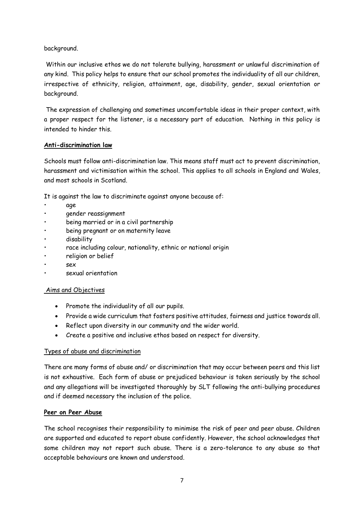#### background.

Within our inclusive ethos we do not tolerate bullying, harassment or unlawful discrimination of any kind. This policy helps to ensure that our school promotes the individuality of all our children, irrespective of ethnicity, religion, attainment, age, disability, gender, sexual orientation or background.

The expression of challenging and sometimes uncomfortable ideas in their proper context, with a proper respect for the listener, is a necessary part of education. Nothing in this policy is intended to hinder this.

#### **Anti-discrimination law**

Schools must follow anti-discrimination law. This means staff must act to prevent discrimination, harassment and victimisation within the school. This applies to all schools in England and Wales, and most schools in Scotland.

It is against the law to discriminate against anyone because of:

- age
- gender reassignment
- being married or in a civil partnership
- being pregnant or on maternity leave
- disability
- race including colour, nationality, ethnic or national origin
- religion or belief
- sex
- sexual orientation

#### Aims and Objectives

- Promote the individuality of all our pupils.
- Provide a wide curriculum that fosters positive attitudes, fairness and justice towards all.
- Reflect upon diversity in our community and the wider world.
- Create a positive and inclusive ethos based on respect for diversity.

#### Types of abuse and discrimination

There are many forms of abuse and/ or discrimination that may occur between peers and this list is not exhaustive. Each form of abuse or prejudiced behaviour is taken seriously by the school and any allegations will be investigated thoroughly by SLT following the anti-bullying procedures and if deemed necessary the inclusion of the police.

#### **Peer on Peer Abuse**

The school recognises their responsibility to minimise the risk of peer and peer abuse. Children are supported and educated to report abuse confidently. However, the school acknowledges that some children may not report such abuse. There is a zero-tolerance to any abuse so that acceptable behaviours are known and understood.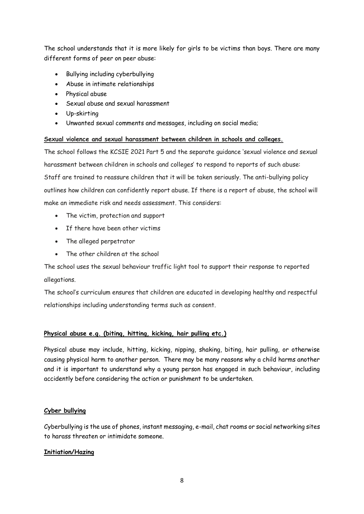The school understands that it is more likely for girls to be victims than boys. There are many different forms of peer on peer abuse:

- Bullying including cyberbullying
- Abuse in intimate relationships
- Physical abuse
- Sexual abuse and sexual harassment
- Up-skirting
- Unwanted sexual comments and messages, including on social media;

#### **Sexual violence and sexual harassment between children in schools and colleges.**

The school follows the KCSIE 2021 Part 5 and the separate guidance 'sexual violence and sexual harassment between children in schools and colleges' to respond to reports of such abuse: Staff are trained to reassure children that it will be taken seriously. The anti-bullying policy outlines how children can confidently report abuse. If there is a report of abuse, the school will make an immediate risk and needs assessment. This considers:

- The victim, protection and support
- If there have been other victims
- The alleged perpetrator
- The other children at the school

The school uses the sexual behaviour traffic light tool to support their response to reported allegations.

The school's curriculum ensures that children are educated in developing healthy and respectful relationships including understanding terms such as consent.

# **Physical abuse e.g. (biting, hitting, kicking, hair pulling etc.)**

Physical abuse may include, hitting, kicking, nipping, shaking, biting, hair pulling, or otherwise causing physical harm to another person. There may be many reasons why a child harms another and it is important to understand why a young person has engaged in such behaviour, including accidently before considering the action or punishment to be undertaken.

# **Cyber bullying**

Cyberbullying is the use of phones, instant messaging, e-mail, chat rooms or social networking sites to harass threaten or intimidate someone.

# **Initiation/Hazing**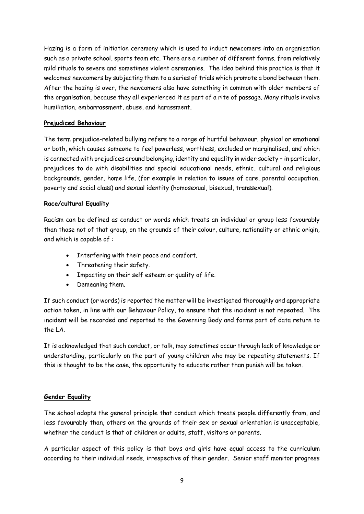Hazing is a form of initiation ceremony which is used to induct newcomers into an organisation such as a private school, sports team etc. There are a number of different forms, from relatively mild rituals to severe and sometimes violent ceremonies. The idea behind this practice is that it welcomes newcomers by subjecting them to a series of trials which promote a bond between them. After the hazing is over, the newcomers also have something in common with older members of the organisation, because they all experienced it as part of a rite of passage. Many rituals involve humiliation, embarrassment, abuse, and harassment.

### **Prejudiced Behaviour**

The term prejudice-related bullying refers to a range of hurtful behaviour, physical or emotional or both, which causes someone to feel powerless, worthless, excluded or marginalised, and which is connected with prejudices around belonging, identity and equality in wider society – in particular, prejudices to do with disabilities and special educational needs, ethnic, cultural and religious backgrounds, gender, home life, (for example in relation to issues of care, parental occupation, poverty and social class) and sexual identity (homosexual, bisexual, transsexual).

### **Race/cultural Equality**

Racism can be defined as conduct or words which treats an individual or group less favourably than those not of that group, on the grounds of their colour, culture, nationality or ethnic origin, and which is capable of :

- Interfering with their peace and comfort.
- Threatening their safety.
- Impacting on their self esteem or quality of life.
- Demeaning them.

If such conduct (or words) is reported the matter will be investigated thoroughly and appropriate action taken, in line with our Behaviour Policy, to ensure that the incident is not repeated. The incident will be recorded and reported to the Governing Body and forms part of data return to the LA.

It is acknowledged that such conduct, or talk, may sometimes occur through lack of knowledge or understanding, particularly on the part of young children who may be repeating statements. If this is thought to be the case, the opportunity to educate rather than punish will be taken.

#### **Gender Equality**

The school adopts the general principle that conduct which treats people differently from, and less favourably than, others on the grounds of their sex or sexual orientation is unacceptable, whether the conduct is that of children or adults, staff, visitors or parents.

A particular aspect of this policy is that boys and girls have equal access to the curriculum according to their individual needs, irrespective of their gender. Senior staff monitor progress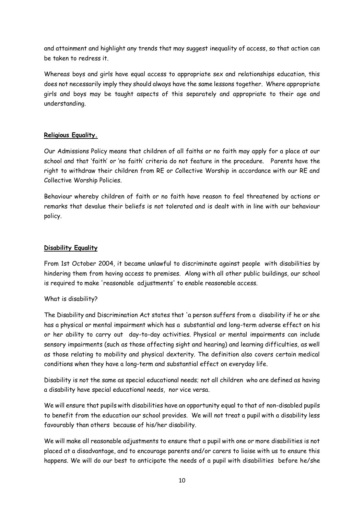and attainment and highlight any trends that may suggest inequality of access, so that action can be taken to redress it.

Whereas boys and girls have equal access to appropriate sex and relationships education, this does not necessarily imply they should always have the same lessons together. Where appropriate girls and boys may be taught aspects of this separately and appropriate to their age and understanding.

#### **Religious Equality.**

Our Admissions Policy means that children of all faiths or no faith may apply for a place at our school and that 'faith' or 'no faith' criteria do not feature in the procedure. Parents have the right to withdraw their children from RE or Collective Worship in accordance with our RE and Collective Worship Policies.

Behaviour whereby children of faith or no faith have reason to feel threatened by actions or remarks that devalue their beliefs is not tolerated and is dealt with in line with our behaviour policy.

### **Disability Equality**

From 1st October 2004, it became unlawful to discriminate against people with disabilities by hindering them from having access to premises. Along with all other public buildings, our school is required to make 'reasonable adjustments' to enable reasonable access.

#### What is disability?

The Disability and Discrimination Act states that 'a person suffers from a disability if he or she has a physical or mental impairment which has a substantial and long-term adverse effect on his or her ability to carry out day-to-day activities. Physical or mental impairments can include sensory impairments (such as those affecting sight and hearing) and learning difficulties, as well as those relating to mobility and physical dexterity. The definition also covers certain medical conditions when they have a long-term and substantial effect on everyday life.

Disability is not the same as special educational needs; not all children who are defined as having a disability have special educational needs, nor vice versa.

We will ensure that pupils with disabilities have an opportunity equal to that of non-disabled pupils to benefit from the education our school provides. We will not treat a pupil with a disability less favourably than others because of his/her disability.

We will make all reasonable adjustments to ensure that a pupil with one or more disabilities is not placed at a disadvantage, and to encourage parents and/or carers to liaise with us to ensure this happens. We will do our best to anticipate the needs of a pupil with disabilities before he/she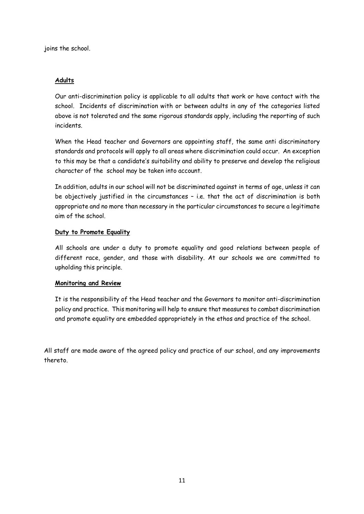joins the school.

#### **Adults**

Our anti-discrimination policy is applicable to all adults that work or have contact with the school. Incidents of discrimination with or between adults in any of the categories listed above is not tolerated and the same rigorous standards apply, including the reporting of such incidents.

When the Head teacher and Governors are appointing staff, the same anti discriminatory standards and protocols will apply to all areas where discrimination could occur. An exception to this may be that a candidate's suitability and ability to preserve and develop the religious character of the school may be taken into account.

In addition, adults in our school will not be discriminated against in terms of age, unless it can be objectively justified in the circumstances – i.e. that the act of discrimination is both appropriate and no more than necessary in the particular circumstances to secure a legitimate aim of the school.

### **Duty to Promote Equality**

All schools are under a duty to promote equality and good relations between people of different race, gender, and those with disability. At our schools we are committed to upholding this principle.

#### **Monitoring and Review**

It is the responsibility of the Head teacher and the Governors to monitor anti-discrimination policy and practice. This monitoring will help to ensure that measures to combat discrimination and promote equality are embedded appropriately in the ethos and practice of the school.

All staff are made aware of the agreed policy and practice of our school, and any improvements thereto.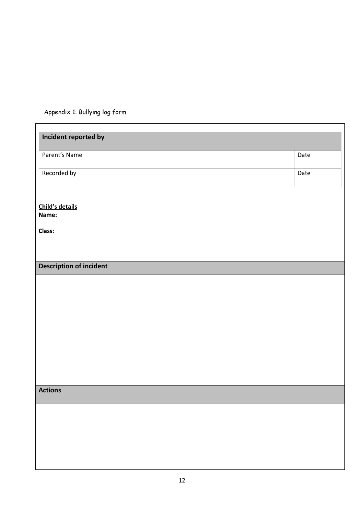Appendix 1: Bullying log form

 $\mathbf{r}$ 

| Incident reported by           |      |
|--------------------------------|------|
| Parent's Name                  | Date |
| Recorded by                    | Date |
|                                |      |
| Child's details<br>Name:       |      |
| <b>Class:</b>                  |      |
|                                |      |
| <b>Description of incident</b> |      |
|                                |      |
|                                |      |
|                                |      |
|                                |      |
|                                |      |
|                                |      |
|                                |      |
|                                |      |
| <b>Actions</b>                 |      |
|                                |      |
|                                |      |
|                                |      |
|                                |      |
|                                |      |
|                                |      |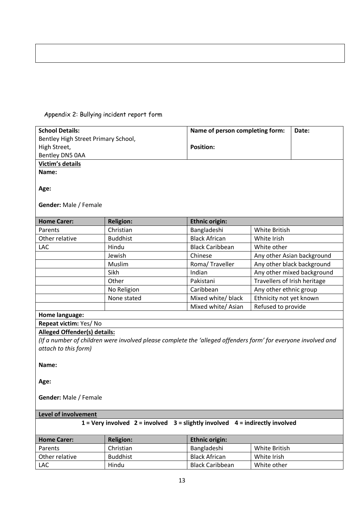# Appendix 2: Bullying incident report form

| <b>School Details:</b>                                                               |                                                                                                               | Name of person completing form: |                              | Date:                      |  |
|--------------------------------------------------------------------------------------|---------------------------------------------------------------------------------------------------------------|---------------------------------|------------------------------|----------------------------|--|
| Bentley High Street Primary School,                                                  |                                                                                                               |                                 |                              |                            |  |
| High Street,                                                                         |                                                                                                               | <b>Position:</b>                |                              |                            |  |
| Bentley DN5 0AA                                                                      |                                                                                                               |                                 |                              |                            |  |
| <b>Victim's details</b>                                                              |                                                                                                               |                                 |                              |                            |  |
| Name:                                                                                |                                                                                                               |                                 |                              |                            |  |
| Age:<br>Gender: Male / Female                                                        |                                                                                                               |                                 |                              |                            |  |
| <b>Home Carer:</b>                                                                   | <b>Religion:</b>                                                                                              | <b>Ethnic origin:</b>           |                              |                            |  |
| Parents                                                                              | Christian                                                                                                     | Bangladeshi                     | White British                |                            |  |
| Other relative                                                                       | <b>Buddhist</b>                                                                                               | <b>Black African</b>            | White Irish                  |                            |  |
| LAC                                                                                  | Hindu                                                                                                         | <b>Black Caribbean</b>          | White other                  |                            |  |
|                                                                                      | Jewish                                                                                                        | Chinese                         |                              | Any other Asian background |  |
|                                                                                      | Muslim                                                                                                        | Roma/Traveller                  |                              | Any other black background |  |
|                                                                                      | Sikh                                                                                                          | Indian                          |                              | Any other mixed background |  |
|                                                                                      | Other                                                                                                         | Pakistani                       | Travellers of Irish heritage |                            |  |
|                                                                                      | No Religion                                                                                                   | Caribbean                       | Any other ethnic group       |                            |  |
|                                                                                      | None stated                                                                                                   | Mixed white/ black              | Ethnicity not yet known      |                            |  |
|                                                                                      |                                                                                                               | Mixed white/ Asian              | Refused to provide           |                            |  |
| Home language:                                                                       |                                                                                                               |                                 |                              |                            |  |
| Repeat victim: Yes/No                                                                |                                                                                                               |                                 |                              |                            |  |
| <b>Alleged Offender(s) details:</b>                                                  |                                                                                                               |                                 |                              |                            |  |
|                                                                                      | (If a number of children were involved please complete the 'alleged offenders form' for everyone involved and |                                 |                              |                            |  |
| attach to this form)                                                                 |                                                                                                               |                                 |                              |                            |  |
| Name:                                                                                |                                                                                                               |                                 |                              |                            |  |
| Age:                                                                                 |                                                                                                               |                                 |                              |                            |  |
| <b>Gender:</b> Male / Female                                                         |                                                                                                               |                                 |                              |                            |  |
| Level of involvement                                                                 |                                                                                                               |                                 |                              |                            |  |
| $1 =$ Very involved $2 =$ involved $3 =$ slightly involved $4 =$ indirectly involved |                                                                                                               |                                 |                              |                            |  |
| <b>Home Carer:</b>                                                                   | <b>Religion:</b>                                                                                              | <b>Ethnic origin:</b>           |                              |                            |  |
| Parents                                                                              | Christian                                                                                                     | Bangladeshi                     | White British                |                            |  |
| Other relative                                                                       | <b>Buddhist</b>                                                                                               | <b>Black African</b>            | White Irish                  |                            |  |
| LAC                                                                                  | Hindu                                                                                                         | <b>Black Caribbean</b>          | White other                  |                            |  |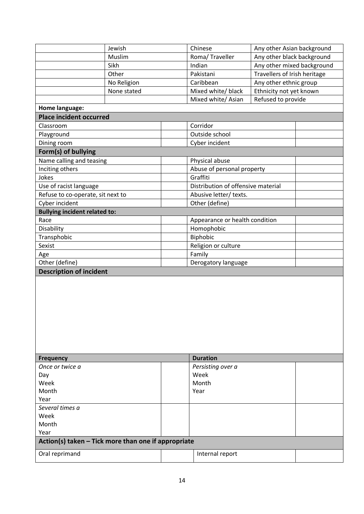|                                                     | Jewish      | Chinese                            | Any other Asian background   |  |
|-----------------------------------------------------|-------------|------------------------------------|------------------------------|--|
|                                                     | Muslim      | Roma/ Traveller                    | Any other black background   |  |
|                                                     | Sikh        | Indian                             | Any other mixed background   |  |
|                                                     | Other       | Pakistani                          | Travellers of Irish heritage |  |
|                                                     | No Religion | Caribbean                          | Any other ethnic group       |  |
|                                                     | None stated | Mixed white/ black                 | Ethnicity not yet known      |  |
|                                                     |             | Mixed white/ Asian                 | Refused to provide           |  |
| Home language:                                      |             |                                    |                              |  |
| <b>Place incident occurred</b>                      |             |                                    |                              |  |
| Classroom                                           |             | Corridor                           |                              |  |
| Playground                                          |             | Outside school                     |                              |  |
| Dining room                                         |             | Cyber incident                     |                              |  |
|                                                     |             |                                    |                              |  |
| Form(s) of bullying                                 |             |                                    |                              |  |
| Name calling and teasing                            |             | Physical abuse                     |                              |  |
| Inciting others                                     |             | Abuse of personal property         |                              |  |
| Jokes                                               |             | Graffiti                           |                              |  |
| Use of racist language                              |             | Distribution of offensive material |                              |  |
| Refuse to co-operate, sit next to                   |             | Abusive letter/ texts.             |                              |  |
| Cyber incident                                      |             | Other (define)                     |                              |  |
| <b>Bullying incident related to:</b>                |             |                                    |                              |  |
| Race                                                |             | Appearance or health condition     |                              |  |
| Disability                                          |             | Homophobic                         |                              |  |
| Transphobic                                         |             | Biphobic                           |                              |  |
| Sexist                                              |             | Religion or culture                |                              |  |
| Age                                                 |             | Family                             |                              |  |
| Other (define)                                      |             |                                    | Derogatory language          |  |
| <b>Description of incident</b>                      |             |                                    |                              |  |
|                                                     |             |                                    |                              |  |
|                                                     |             |                                    |                              |  |
|                                                     |             |                                    |                              |  |
|                                                     |             |                                    |                              |  |
|                                                     |             |                                    |                              |  |
|                                                     |             |                                    |                              |  |
|                                                     |             |                                    |                              |  |
|                                                     |             |                                    |                              |  |
|                                                     |             |                                    |                              |  |
|                                                     |             |                                    |                              |  |
| <b>Frequency</b>                                    |             | <b>Duration</b>                    |                              |  |
| Once or twice a                                     |             | Persisting over a                  |                              |  |
| Day                                                 |             |                                    | Week                         |  |
| Week                                                |             |                                    | Month                        |  |
| Month                                               |             | Year                               |                              |  |
| Year                                                |             |                                    |                              |  |
| Several times a                                     |             |                                    |                              |  |
| Week                                                |             |                                    |                              |  |
| Month                                               |             |                                    |                              |  |
| Year                                                |             |                                    |                              |  |
| Action(s) taken - Tick more than one if appropriate |             |                                    |                              |  |
|                                                     |             |                                    |                              |  |
| Oral reprimand                                      |             | Internal report                    |                              |  |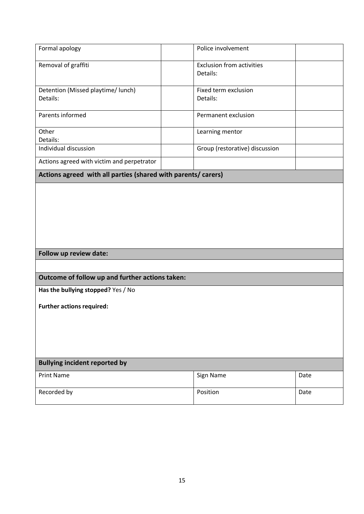| Formal apology                                                | Police involvement                           |      |
|---------------------------------------------------------------|----------------------------------------------|------|
| Removal of graffiti                                           | <b>Exclusion from activities</b><br>Details: |      |
| Detention (Missed playtime/ lunch)                            | Fixed term exclusion                         |      |
| Details:                                                      | Details:                                     |      |
| Parents informed                                              | Permanent exclusion                          |      |
| Other                                                         | Learning mentor                              |      |
| Details:                                                      |                                              |      |
| Individual discussion                                         | Group (restorative) discussion               |      |
| Actions agreed with victim and perpetrator                    |                                              |      |
| Actions agreed with all parties (shared with parents/ carers) |                                              |      |
|                                                               |                                              |      |
| Follow up review date:                                        |                                              |      |
|                                                               |                                              |      |
| Outcome of follow up and further actions taken:               |                                              |      |
| Has the bullying stopped? Yes / No                            |                                              |      |
| <b>Further actions required:</b>                              |                                              |      |
|                                                               |                                              |      |
|                                                               |                                              |      |
|                                                               |                                              |      |
| <b>Bullying incident reported by</b>                          |                                              |      |
| <b>Print Name</b>                                             | Sign Name                                    |      |
|                                                               |                                              | Date |